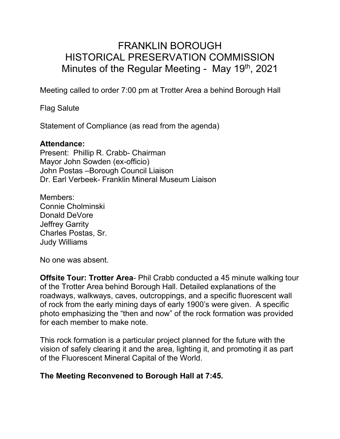# FRANKLIN BOROUGH HISTORICAL PRESERVATION COMMISSION Minutes of the Regular Meeting - May 19th, 2021

Meeting called to order 7:00 pm at Trotter Area a behind Borough Hall

Flag Salute

Statement of Compliance (as read from the agenda)

#### **Attendance:**

Present: Phillip R. Crabb- Chairman Mayor John Sowden (ex-officio) John Postas –Borough Council Liaison Dr. Earl Verbeek- Franklin Mineral Museum Liaison

Members: Connie Cholminski Donald DeVore Jeffrey Garrity Charles Postas, Sr. Judy Williams

No one was absent.

**Offsite Tour: Trotter Area- Phil Crabb conducted a 45 minute walking tour** of the Trotter Area behind Borough Hall. Detailed explanations of the roadways, walkways, caves, outcroppings, and a specific fluorescent wall of rock from the early mining days of early 1900's were given. A specific photo emphasizing the "then and now" of the rock formation was provided for each member to make note.

This rock formation is a particular project planned for the future with the vision of safely clearing it and the area, lighting it, and promoting it as part of the Fluorescent Mineral Capital of the World.

### **The Meeting Reconvened to Borough Hall at 7:45.**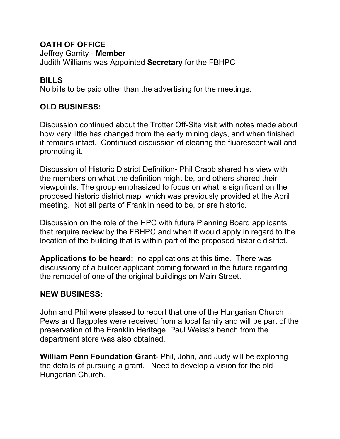#### **OATH OF OFFICE**

Jeffrey Garrity - **Member**

Judith Williams was Appointed **Secretary** for the FBHPC

### **BILLS**

No bills to be paid other than the advertising for the meetings.

## **OLD BUSINESS:**

Discussion continued about the Trotter Off-Site visit with notes made about how very little has changed from the early mining days, and when finished, it remains intact. Continued discussion of clearing the fluorescent wall and promoting it.

Discussion of Historic District Definition- Phil Crabb shared his view with the members on what the definition might be, and others shared their viewpoints. The group emphasized to focus on what is significant on the proposed historic district map which was previously provided at the April meeting. Not all parts of Franklin need to be, or are historic.

Discussion on the role of the HPC with future Planning Board applicants that require review by the FBHPC and when it would apply in regard to the location of the building that is within part of the proposed historic district.

**Applications to be heard:** no applications at this time. There was discussiony of a builder applicant coming forward in the future regarding the remodel of one of the original buildings on Main Street.

### **NEW BUSINESS:**

John and Phil were pleased to report that one of the Hungarian Church Pews and flagpoles were received from a local family and will be part of the preservation of the Franklin Heritage. Paul Weiss's bench from the department store was also obtained.

**William Penn Foundation Grant**- Phil, John, and Judy will be exploring the details of pursuing a grant. Need to develop a vision for the old Hungarian Church.